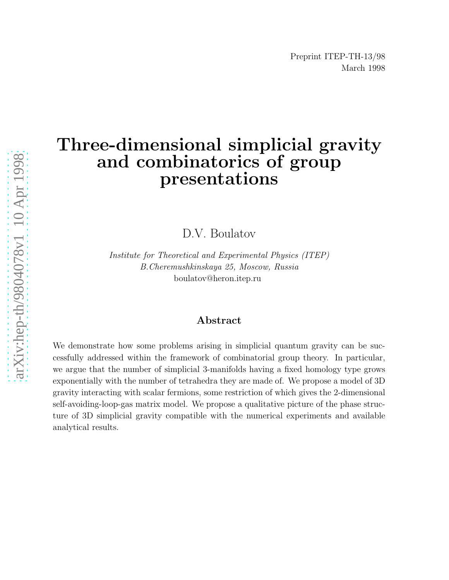# Three-dimensional simplicial gravity and combinatorics of group presentations

D.V. Boulatov

Institute for Theoretical and Experimental Physics (ITEP) B.Cheremushkinskaya 25, Moscow, Russia boulatov@heron.itep.ru

#### Abstract

We demonstrate how some problems arising in simplicial quantum gravity can be successfully addressed within the framework of combinatorial group theory. In particular, we argue that the number of simplicial 3-manifolds having a fixed homology type grows exponentially with the number of tetrahedra they are made of. We propose a model of 3D gravity interacting with scalar fermions, some restriction of which gives the 2-dimensional self-avoiding-loop-gas matrix model. We propose a qualitative picture of the phase structure of 3D simplicial gravity compatible with the numerical experiments and available analytical results.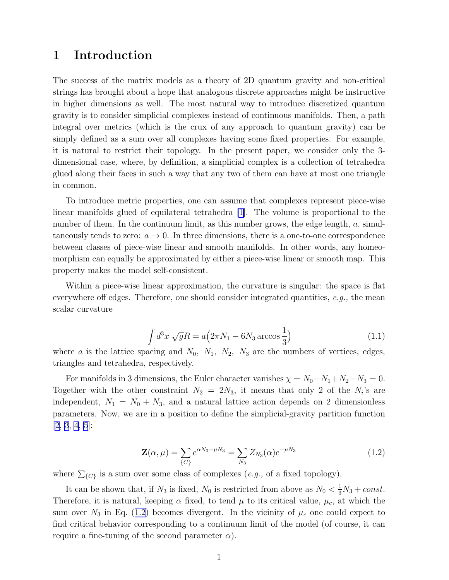#### <span id="page-1-0"></span>1 Introduction

The success of the matrix models as a theory of 2D quantum gravity and non-critical strings has brought about a hope that analogous discrete approaches might be instructive in higher dimensions as well. The most natural way to introduce discretized quantum gravity is to consider simplicial complexes instead of continuous manifolds. Then, a path integral over metrics (which is the crux of any approach to quantum gravity) can be simply defined as a sum over all complexes having some fixed properties. For example, it is natural to restrict their topology. In the present paper, we consider only the 3 dimensional case, where, by definition, a simplicial complex is a collection of tetrahedra glued along their faces in such a way that any two of them can have at most one triangle in common.

To introduce metric properties, one can assume that complexes represent piece-wise linear manifolds glued of equilateral tetrahedra [\[1\]](#page-23-0). The volume is proportional to the number of them. In the continuum limit, as this number grows, the edge length,  $a$ , simultaneously tends to zero:  $a \to 0$ . In three dimensions, there is a one-to-one correspondence between classes of piece-wise linear and smooth manifolds. In other words, any homeomorphism can equally be approximated by either a piece-wise linear or smooth map. This property makes the model self-consistent.

Within a piece-wise linear approximation, the curvature is singular: the space is flat everywhere off edges. Therefore, one should consider integrated quantities,  $e.g.,$  the mean scalar curvature

$$
\int d^3x \sqrt{g}R = a\left(2\pi N_1 - 6N_3 \arccos\frac{1}{3}\right) \tag{1.1}
$$

where a is the lattice spacing and  $N_0$ ,  $N_1$ ,  $N_2$ ,  $N_3$  are the numbers of vertices, edges, triangles and tetrahedra, respectively.

For manifolds in 3 dimensions, the Euler character vanishes  $\chi = N_0 - N_1 + N_2 - N_3 = 0$ . Together with the other constraint  $N_2 = 2N_3$ , it means that only 2 of the  $N_i$ 's are independent,  $N_1 = N_0 + N_3$ , and a natural lattice action depends on 2 dimensionless parameters. Now, we are in a position to define the simplicial-gravity partition function  $[2, 3, 4, 5]$  $[2, 3, 4, 5]$  $[2, 3, 4, 5]$  $[2, 3, 4, 5]$  $[2, 3, 4, 5]$  $[2, 3, 4, 5]$  $[2, 3, 4, 5]$  $[2, 3, 4, 5]$ :

$$
\mathbf{Z}(\alpha,\mu) = \sum_{\{C\}} e^{\alpha N_0 - \mu N_3} = \sum_{N_3} Z_{N_3}(\alpha) e^{-\mu N_3}
$$
(1.2)

where  $\sum_{\{C\}}$  is a sum over some class of complexes  $(e.g.,$  of a fixed topology).

It can be shown that, if  $N_3$  is fixed,  $N_0$  is restricted from above as  $N_0 < \frac{1}{3}N_3 + const.$ Therefore, it is natural, keeping  $\alpha$  fixed, to tend  $\mu$  to its critical value,  $\mu_c$ , at which the sum over  $N_3$  in Eq. (1.2) becomes divergent. In the vicinity of  $\mu_c$  one could expect to find critical behavior corresponding to a continuum limit of the model (of course, it can require a fine-tuning of the second parameter  $\alpha$ ).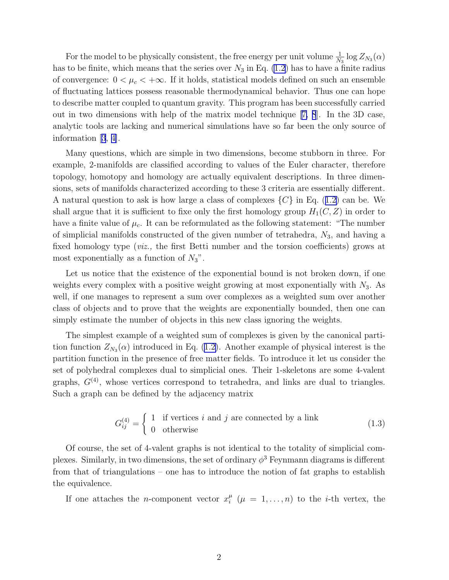For the model to be physically consistent, the free energy per unit volume  $\frac{1}{N_3} \log Z_{N_3}(\alpha)$ has to be finite, which means that the series over  $N_3$  in Eq. [\(1.2](#page-1-0)) has to have a finite radius of convergence:  $0 < \mu_c < +\infty$ . If it holds, statistical models defined on such an ensemble of fluctuating lattices possess reasonable thermodynamical behavior. Thus one can hope to describe matter coupled to quantum gravity. This program has been successfully carried out in two dimensions with help of the matrix model technique[[7, 8](#page-24-0)]. In the 3D case, analytic tools are lacking and numerical simulations have so far been the only source of information[[3](#page-24-0), [4\]](#page-24-0).

Many questions, which are simple in two dimensions, become stubborn in three. For example, 2-manifolds are classified according to values of the Euler character, therefore topology, homotopy and homology are actually equivalent descriptions. In three dimensions, sets of manifolds characterized according to these 3 criteria are essentially different. Anatural question to ask is how large a class of complexes  $\{C\}$  in Eq. ([1.2\)](#page-1-0) can be. We shall argue that it is sufficient to fixe only the first homology group  $H_1(C, Z)$  in order to have a finite value of  $\mu_c$ . It can be reformulated as the following statement: "The number of simplicial manifolds constructed of the given number of tetrahedra,  $N_3$ , and having a fixed homology type (viz., the first Betti number and the torsion coefficients) grows at most exponentially as a function of  $N_3$ ".

Let us notice that the existence of the exponential bound is not broken down, if one weights every complex with a positive weight growing at most exponentially with  $N_3$ . As well, if one manages to represent a sum over complexes as a weighted sum over another class of objects and to prove that the weights are exponentially bounded, then one can simply estimate the number of objects in this new class ignoring the weights.

The simplest example of a weighted sum of complexes is given by the canonical partitionfunction  $Z_{N_3}(\alpha)$  introduced in Eq. ([1.2\)](#page-1-0). Another example of physical interest is the partition function in the presence of free matter fields. To introduce it let us consider the set of polyhedral complexes dual to simplicial ones. Their 1-skeletons are some 4-valent graphs,  $G<sup>(4)</sup>$ , whose vertices correspond to tetrahedra, and links are dual to triangles. Such a graph can be defined by the adjacency matrix

$$
G_{ij}^{(4)} = \begin{cases} 1 & \text{if vertices } i \text{ and } j \text{ are connected by a link} \\ 0 & \text{otherwise} \end{cases}
$$
 (1.3)

Of course, the set of 4-valent graphs is not identical to the totality of simplicial complexes. Similarly, in two dimensions, the set of ordinary  $\phi^3$  Feynmann diagrams is different from that of triangulations – one has to introduce the notion of fat graphs to establish the equivalence.

If one attaches the *n*-component vector  $x_i^{\mu}$  $\binom{\mu}{i}$   $(\mu = 1, \ldots, n)$  to the *i*-th vertex, the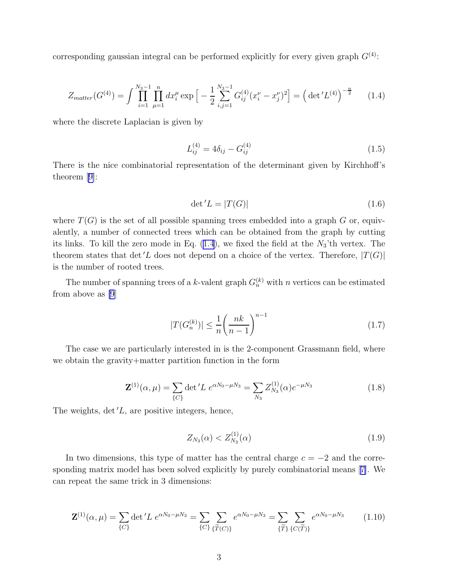<span id="page-3-0"></span>corresponding gaussian integral can be performed explicitly for every given graph  $G^{(4)}$ :

$$
Z_{matter}(G^{(4)}) = \int \prod_{i=1}^{N_3-1} \prod_{\mu=1}^n dx_i^{\mu} \exp\left[-\frac{1}{2} \sum_{i,j=1}^{N_3-1} G_{ij}^{(4)} (x_i^{\nu} - x_j^{\nu})^2\right] = \left(\det' L^{(4)}\right)^{-\frac{n}{2}} \tag{1.4}
$$

where the discrete Laplacian is given by

$$
L_{ij}^{(4)} = 4\delta_{ij} - G_{ij}^{(4)}
$$
\n(1.5)

There is the nice combinatorial representation of the determinant given by Kirchhoff's theorem[[9\]](#page-24-0):

$$
\det L = |T(G)| \tag{1.6}
$$

where  $T(G)$  is the set of all possible spanning trees embedded into a graph G or, equivalently, a number of connected trees which can be obtained from the graph by cutting its links. To kill the zero mode in Eq.  $(1.4)$ , we fixed the field at the  $N_3$ 'th vertex. The theorem states that det'L does not depend on a choice of the vertex. Therefore,  $|T(G)|$ is the number of rooted trees.

The number of spanning trees of a k-valent graph  $G_n^{(k)}$  with n vertices can be estimated from above as [\[9](#page-24-0)]

$$
|T(G_n^{(k)})| \le \frac{1}{n} \left(\frac{nk}{n-1}\right)^{n-1} \tag{1.7}
$$

The case we are particularly interested in is the 2-component Grassmann field, where we obtain the gravity+matter partition function in the form

$$
\mathbf{Z}^{(1)}(\alpha,\mu) = \sum_{\{C\}} \det' L \ e^{\alpha N_0 - \mu N_3} = \sum_{N_3} Z_{N_3}^{(1)}(\alpha) e^{-\mu N_3}
$$
(1.8)

The weights,  $\det L$ , are positive integers, hence,

$$
Z_{N_3}(\alpha) < Z_{N_3}^{(1)}(\alpha) \tag{1.9}
$$

In two dimensions, this type of matter has the central charge  $c = -2$  and the corresponding matrix model has been solved explicitly by purely combinatorial means[[7\]](#page-24-0). We can repeat the same trick in 3 dimensions:

$$
\mathbf{Z}^{(1)}(\alpha,\mu) = \sum_{\{C\}} \det' L \ e^{\alpha N_0 - \mu N_3} = \sum_{\{C\}} \sum_{\{\widetilde{T}(C)\}} \ e^{\alpha N_0 - \mu N_3} = \sum_{\{\widetilde{T}\}} \sum_{\{C(\widetilde{T})\}} \ e^{\alpha N_0 - \mu N_3} \tag{1.10}
$$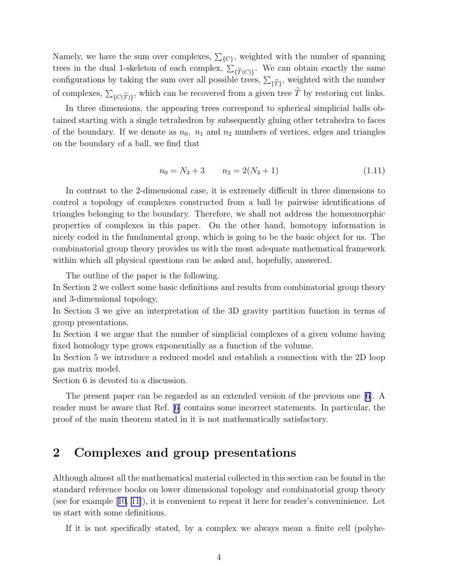Namely, we have the sum over complexes,  $\Sigma_{\{C\}}$ , weighted with the number of spanning trees in the dual 1-skeleton of each complex,  $\sum_{\{\widetilde{T}(C)\}}$ . We can obtain exactly the same configurations by taking the sum over all possible trees,  $\sum_{\{\widetilde{T}\}}$ , weighted with the number of complexes,  $\sum_{\{C(\widetilde{T})\}}$ , which can be recovered from a given tree  $\widetilde{T}$  by restoring cut links.

In three dimensions, the appearing trees correspond to spherical simplicial balls obtained starting with a single tetrahedron by subsequently gluing other tetrahedra to faces of the boundary. If we denote as  $n_0$ ,  $n_1$  and  $n_2$  numbers of vertices, edges and triangles on the boundary of a ball, we find that

$$
n_0 = N_3 + 3 \qquad n_2 = 2(N_3 + 1) \tag{1.11}
$$

In contrast to the 2-dimensional case, it is extremely difficult in three dimensions to control a topology of complexes constructed from a ball by pairwise identifications of triangles belonging to the boundary. Therefore, we shall not address the homeomorphic properties of complexes in this paper. On the other hand, homotopy information is nicely coded in the fundamental group, which is going to be the basic object for us. The combinatorial group theory provides us with the most adequate mathematical framework within which all physical questions can be asked and, hopefully, answered.

The outline of the paper is the following.

In Section 2 we collect some basic definitions and results from combinatorial group theory and 3-dimensional topology.

In Section 3 we give an interpretation of the 3D gravity partition function in terms of group presentations.

In Section 4 we argue that the number of simplicial complexes of a given volume having fixed homology type grows exponentially as a function of the volume.

In Section 5 we introduce a reduced model and establish a connection with the 2D loop gas matrix model.

Section 6 is devoted to a discussion.

The present paper can be regarded as an extended version of the previous one[[6\]](#page-24-0). A reader must be aware that Ref.[[6\]](#page-24-0) contains some incorrect statements. In particular, the proof of the main theorem stated in it is not mathematically satisfactory.

#### 2 Complexes and group presentations

Although almost all the mathematical material collected in this section can be found in the standard reference books on lower dimensional topology and combinatorial group theory (seefor example  $[10, 11]$  $[10, 11]$  $[10, 11]$  $[10, 11]$ ), it is convenient to repeat it here for reader's conveninience. Let us start with some definitions.

If it is not specifically stated, by a complex we always mean a finite cell (polyhe-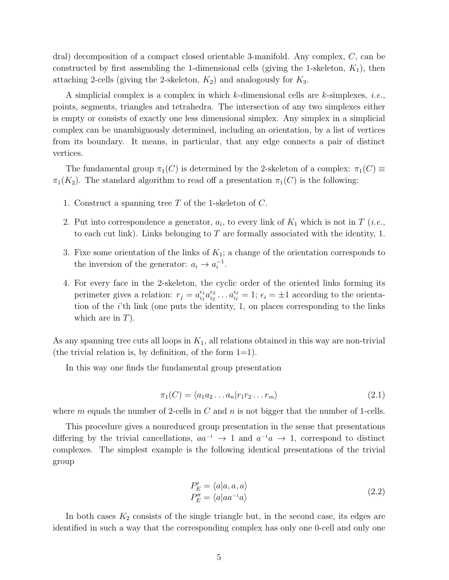<span id="page-5-0"></span>dral) decomposition of a compact closed orientable 3-manifold. Any complex, C, can be constructed by first assembling the 1-dimensional cells (giving the 1-skeleton,  $K_1$ ), then attaching 2-cells (giving the 2-skeleton,  $K_2$ ) and analogously for  $K_3$ .

A simplicial complex is a complex in which  $k$ -dimensional cells are  $k$ -simplexes, *i.e.*, points, segments, triangles and tetrahedra. The intersection of any two simplexes either is empty or consists of exactly one less dimensional simplex. Any simplex in a simplicial complex can be unambiguously determined, including an orientation, by a list of vertices from its boundary. It means, in particular, that any edge connects a pair of distinct vertices.

The fundamental group  $\pi_1(C)$  is determined by the 2-skeleton of a complex:  $\pi_1(C) \equiv$  $\pi_1(K_2)$ . The standard algorithm to read off a presentation  $\pi_1(C)$  is the following:

- 1. Construct a spanning tree T of the 1-skeleton of C.
- 2. Put into correspondence a generator,  $a_i$ , to every link of  $K_1$  which is not in T (*i.e.*, to each cut link). Links belonging to  $T$  are formally associated with the identity, 1.
- 3. Fixe some orientation of the links of  $K_1$ ; a change of the orientation corresponds to the inversion of the generator:  $a_i \rightarrow a_i^{-1}$ .
- 4. For every face in the 2-skeleton, the cyclic order of the oriented links forming its perimeter gives a relation:  $r_j = a_{i_1}^{\epsilon_1}$  $\frac{\epsilon_1}{i_1} a_{i_2}^{\epsilon_2}$  $\epsilon_{i_2}^{\epsilon_2} \dots a_{i_\ell}^{\epsilon_\ell} = 1$ ;  $\epsilon_i = \pm 1$  according to the orientation of the  $i$ 'th link (one puts the identity, 1, on places corresponding to the links which are in  $T$ ).

As any spanning tree cuts all loops in  $K_1$ , all relations obtained in this way are non-trivial (the trivial relation is, by definition, of the form  $1=1$ ).

In this way one finds the fundamental group presentation

$$
\pi_1(C) = \langle a_1 a_2 \dots a_n | r_1 r_2 \dots r_m \rangle \tag{2.1}
$$

where m equals the number of 2-cells in C and n is not bigger that the number of 1-cells.

This procedure gives a nonreduced group presentation in the sense that presentations differing by the trivial cancellations,  $aa^{-1} \rightarrow 1$  and  $a^{-1}a \rightarrow 1$ , correspond to distinct complexes. The simplest example is the following identical presentations of the trivial group

$$
P'_E = \langle a|a, a, a \rangle
$$
  
\n
$$
P''_E = \langle a|aa^{-1}a \rangle
$$
\n(2.2)

In both cases  $K_2$  consists of the single triangle but, in the second case, its edges are identified in such a way that the corresponding complex has only one 0-cell and only one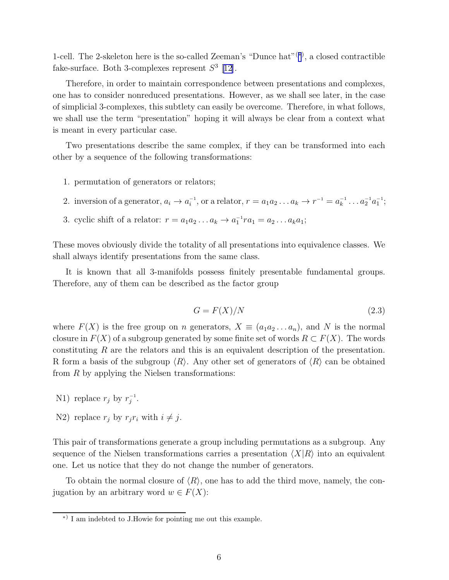1-cell. The 2-skeleton here is the so-called Zeeman's "Dunce hat"<sup> $(*)$ </sup>, a closed contractible fake-surface. Both 3-complexes represent  $S^3$  [\[12\]](#page-24-0).

Therefore, in order to maintain correspondence between presentations and complexes, one has to consider nonreduced presentations. However, as we shall see later, in the case of simplicial 3-complexes, this subtlety can easily be overcome. Therefore, in what follows, we shall use the term "presentation" hoping it will always be clear from a context what is meant in every particular case.

Two presentations describe the same complex, if they can be transformed into each other by a sequence of the following transformations:

- 1. permutation of generators or relators;
- 2. inversion of a generator,  $a_i \to a_i^{-1}$ , or a relator,  $r = a_1 a_2 ... a_k \to r^{-1} = a_k^{-1} ... a_2^{-1} a_1^{-1}$ ;
- 3. cyclic shift of a relator:  $r = a_1 a_2 \dots a_k \rightarrow a_1^{-1} r a_1 = a_2 \dots a_k a_1;$

These moves obviously divide the totality of all presentations into equivalence classes. We shall always identify presentations from the same class.

It is known that all 3-manifolds possess finitely presentable fundamental groups. Therefore, any of them can be described as the factor group

$$
G = F(X)/N \tag{2.3}
$$

where  $F(X)$  is the free group on n generators,  $X \equiv (a_1 a_2 \ldots a_n)$ , and N is the normal closure in  $F(X)$  of a subgroup generated by some finite set of words  $R \subset F(X)$ . The words constituting R are the relators and this is an equivalent description of the presentation. R form a basis of the subgroup  $\langle R \rangle$ . Any other set of generators of  $\langle R \rangle$  can be obtained from  $R$  by applying the Nielsen transformations:

- N1) replace  $r_j$  by  $r_j^{-1}$ .
- N2) replace  $r_j$  by  $r_j r_i$  with  $i \neq j$ .

This pair of transformations generate a group including permutations as a subgroup. Any sequence of the Nielsen transformations carries a presentation  $\langle X|R\rangle$  into an equivalent one. Let us notice that they do not change the number of generators.

To obtain the normal closure of  $\langle R \rangle$ , one has to add the third move, namely, the conjugation by an arbitrary word  $w \in F(X)$ :

<sup>∗</sup>) I am indebted to J.Howie for pointing me out this example.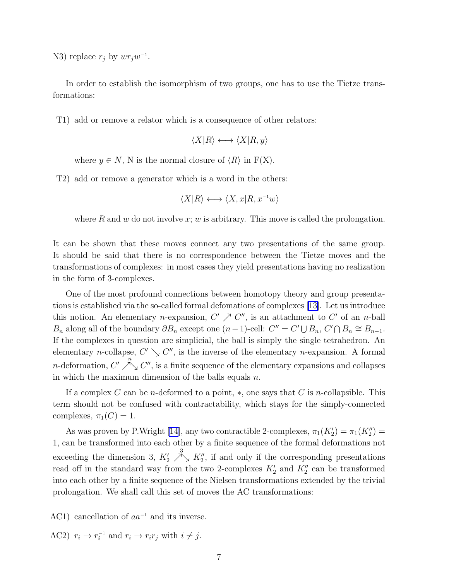N3) replace  $r_j$  by  $wr_jw^{-1}$ .

In order to establish the isomorphism of two groups, one has to use the Tietze transformations:

T1) add or remove a relator which is a consequence of other relators:

$$
\langle X|R\rangle \longleftrightarrow \langle X|R,y\rangle
$$

where  $y \in N$ , N is the normal closure of  $\langle R \rangle$  in  $F(X)$ .

T2) add or remove a generator which is a word in the others:

$$
\langle X|R\rangle \longleftrightarrow \langle X,x|R,x^{-1}w\rangle
$$

where R and w do not involve x; w is arbitrary. This move is called the prolongation.

It can be shown that these moves connect any two presentations of the same group. It should be said that there is no correspondence between the Tietze moves and the transformations of complexes: in most cases they yield presentations having no realization in the form of 3-complexes.

One of the most profound connections between homotopy theory and group presentations is established via the so-called formal defomations of complexes[[13\]](#page-24-0). Let us introduce this notion. An elementary *n*-expansion,  $C' \nearrow C''$ , is an attachment to  $C'$  of an *n*-ball  $B_n$  along all of the boundary  $\partial B_n$  except one  $(n-1)$ -cell:  $C'' = C' \cup B_n$ ,  $C' \cap B_n \cong B_{n-1}$ . If the complexes in question are simplicial, the ball is simply the single tetrahedron. An elementary *n*-collapse,  $C' \searrow C''$ , is the inverse of the elementary *n*-expansion. A formal *n*-deformation,  $C'$  $\overline{\nearrow}$ ,  $C''$ , is a finite sequence of the elementary expansions and collapses in which the maximum dimension of the balls equals  $n$ .

If a complex C can be n-deformed to a point,  $\ast$ , one says that C is n-collapsible. This term should not be confused with contractability, which stays for the simply-connected complexes,  $\pi_1(C) = 1$ .

As was proven by P.Wright [\[14](#page-24-0)], any two contractible 2-complexes,  $\pi_1(K_2') = \pi_1(K_2'')$ 1, can be transformed into each other by a finite sequence of the formal deformations not exceeding the dimension 3,  $K'_2$  $\stackrel{3}{\nearrow}_{\searrow} K''_2$ , if and only if the corresponding presentations read off in the standard way from the two 2-complexes  $K'_{2}$  and  $K''_{2}$  can be transformed into each other by a finite sequence of the Nielsen transformations extended by the trivial prolongation. We shall call this set of moves the AC transformations:

AC1) cancellation of  $aa^{-1}$  and its inverse.

AC2)  $r_i \rightarrow r_i^{-1}$  and  $r_i \rightarrow r_i r_j$  with  $i \neq j$ .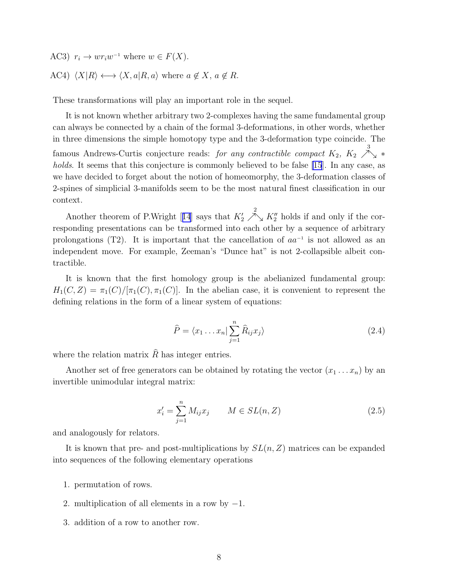AC3)  $r_i \to wr_iw^{-1}$  where  $w \in F(X)$ . AC4)  $\langle X|R \rangle \longleftrightarrow \langle X, a|R, a \rangle$  where  $a \notin X$ ,  $a \notin R$ .

These transformations will play an important role in the sequel.

It is not known whether arbitrary two 2-complexes having the same fundamental group can always be connected by a chain of the formal 3-deformations, in other words, whether in three dimensions the simple homotopy type and the 3-deformation type coincide. The famous Andrews-Curtis conjecture reads: for any contractible compact  $K_2$ ,  $K_2 \nearrow$ ∕``∡ ∗ holds. It seems that this conjecture is commonly believed to be false [\[15](#page-24-0)]. In any case, as we have decided to forget about the notion of homeomorphy, the 3-deformation classes of 2-spines of simplicial 3-manifolds seem to be the most natural finest classification in our context.

Anothertheorem of P.Wright [[14](#page-24-0)] says that  $K_2'$  $\stackrel{2}{\nearrow}_{\searrow} K''_2$  holds if and only if the corresponding presentations can be transformed into each other by a sequence of arbitrary prolongations (T2). It is important that the cancellation of  $aa^{-1}$  is not allowed as an independent move. For example, Zeeman's "Dunce hat" is not 2-collapsible albeit contractible.

It is known that the first homology group is the abelianized fundamental group:  $H_1(C, Z) = \pi_1(C)/[\pi_1(C), \pi_1(C)]$ . In the abelian case, it is convenient to represent the defining relations in the form of a linear system of equations:

$$
\widehat{P} = \langle x_1 \dots x_n | \sum_{j=1}^n \widehat{R}_{ij} x_j \rangle \tag{2.4}
$$

where the relation matrix  $\hat{R}$  has integer entries.

Another set of free generators can be obtained by rotating the vector  $(x_1 \ldots x_n)$  by an invertible unimodular integral matrix:

$$
x'_{i} = \sum_{j=1}^{n} M_{ij} x_{j} \qquad M \in SL(n, Z)
$$
 (2.5)

and analogously for relators.

It is known that pre- and post-multiplications by  $SL(n, Z)$  matrices can be expanded into sequences of the following elementary operations

- 1. permutation of rows.
- 2. multiplication of all elements in a row by  $-1$ .
- 3. addition of a row to another row.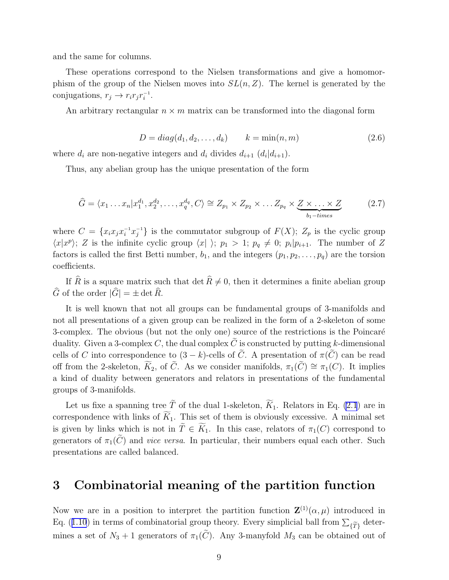and the same for columns.

These operations correspond to the Nielsen transformations and give a homomorphism of the group of the Nielsen moves into  $SL(n, Z)$ . The kernel is generated by the conjugations,  $r_j \rightarrow r_i r_j r_i^{-1}$ .

An arbitrary rectangular  $n \times m$  matrix can be transformed into the diagonal form

$$
D = diag(d_1, d_2, \dots, d_k) \qquad k = \min(n, m)
$$
\n
$$
(2.6)
$$

where  $d_i$  are non-negative integers and  $d_i$  divides  $d_{i+1}$   $(d_i|d_{i+1})$ .

Thus, any abelian group has the unique presentation of the form

$$
\widehat{G} = \langle x_1 \dots x_n | x_1^{d_1}, x_2^{d_2}, \dots, x_q^{d_q}, C \rangle \cong Z_{p_1} \times Z_{p_2} \times \dots Z_{p_q} \times \underbrace{Z \times \dots \times Z}_{b_1 - times}
$$
\n(2.7)

where  $C = \{x_i x_j x_i^{-1} x_j^{-1}\}\$ is the commutator subgroup of  $F(X)$ ;  $Z_p$  is the cyclic group  $\langle x|x^p\rangle$ ; Z is the infinite cyclic group  $\langle x|\rangle$ ;  $p_1 > 1$ ;  $p_q \neq 0$ ;  $p_i|p_{i+1}$ . The number of Z factors is called the first Betti number,  $b_1$ , and the integers  $(p_1, p_2, \ldots, p_q)$  are the torsion coefficients.

If  $\widehat{R}$  is a square matrix such that det  $\widehat{R} \neq 0$ , then it determines a finite abelian group  $\widehat{G}$  of the order  $|\widehat{G}| = \pm \det \widehat{R}$ .

It is well known that not all groups can be fundamental groups of 3-manifolds and not all presentations of a given group can be realized in the form of a 2-skeleton of some 3-complex. The obvious (but not the only one) source of the restrictions is the Poincaré duality. Given a 3-complex C, the dual complex  $\tilde{C}$  is constructed by putting k-dimensional cells of C into correspondence to  $(3 - k)$ -cells of  $\tilde{C}$ . A presentation of  $\pi(\tilde{C})$  can be read off from the 2-skeleton,  $\widetilde{K}_2$ , of  $\widetilde{C}$ . As we consider manifolds,  $\pi_1(\widetilde{C}) \cong \pi_1(C)$ . It implies a kind of duality between generators and relators in presentations of the fundamental groups of 3-manifolds.

Let us fixe a spanning tree  $\tilde{T}$  of the dual 1-skeleton,  $\widetilde{K}_1$ . Relators in Eq. [\(2.1](#page-5-0)) are in correspondence with links of  $\widetilde{K}_1$ . This set of them is obviously excessive. A minimal set is given by links which is not in  $\widetilde{T} \in \widetilde{K}_1$ . In this case, relators of  $\pi_1(C)$  correspond to generators of  $\pi_1(\tilde{C})$  and *vice versa*. In particular, their numbers equal each other. Such presentations are called balanced.

#### 3 Combinatorial meaning of the partition function

Now we are in a position to interpret the partition function  $\mathbf{Z}^{(1)}(\alpha,\mu)$  introduced in Eq.([1.10](#page-3-0)) in terms of combinatorial group theory. Every simplicial ball from  $\sum_{\{\widetilde{T}\}}$  determines a set of  $N_3 + 1$  generators of  $\pi_1(\tilde{C})$ . Any 3-manyfold  $M_3$  can be obtained out of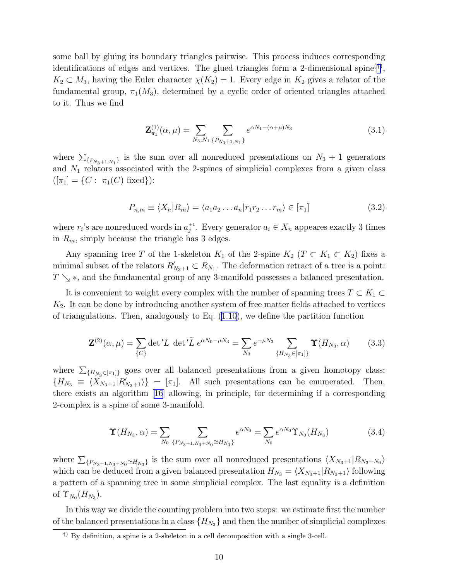<span id="page-10-0"></span>some ball by gluing its boundary triangles pairwise. This process induces corresponding identifications of edges and vertices. The glued triangles form a 2-dimensional spine<sup>(†)</sup>,  $K_2 \subset M_3$ , having the Euler character  $\chi(K_2) = 1$ . Every edge in  $K_2$  gives a relator of the fundamental group,  $\pi_1(M_3)$ , determined by a cyclic order of oriented triangles attached to it. Thus we find

$$
\mathbf{Z}_{\pi_1}^{(1)}(\alpha,\mu) = \sum_{N_3,N_1} \sum_{\{P_{N_3+1,N_1}\}} e^{\alpha N_1 - (\alpha + \mu)N_3}
$$
(3.1)

where  $\sum_{\{P_{N_3+1,N_1}\}}$  is the sum over all nonreduced presentations on  $N_3 + 1$  generators and  $N_1$  relators associated with the 2-spines of simplicial complexes from a given class  $([\pi_1] = \{C : \pi_1(C) \text{ fixed}\}\):$ 

$$
P_{n,m} \equiv \langle X_n | R_m \rangle = \langle a_1 a_2 \dots a_n | r_1 r_2 \dots r_m \rangle \in [\pi_1]
$$
\n(3.2)

where  $r_i$ 's are nonreduced words in  $a_j^{\pm 1}$ . Every generator  $a_i \in X_n$  appeares exactly 3 times in  $R_m$ , simply because the triangle has 3 edges.

Any spanning tree T of the 1-skeleton  $K_1$  of the 2-spine  $K_2$  ( $T \subset K_1 \subset K_2$ ) fixes a minimal subset of the relators  $R'_{N_3+1} \subset R_{N_1}$ . The deformation retract of a tree is a point:  $T \searrow$  ∗, and the fundamental group of any 3-manifold possesses a balanced presentation.

It is convenient to weight every complex with the number of spanning trees  $T \subset K_1 \subset$  $K<sub>2</sub>$ . It can be done by introducing another system of free matter fields attached to vertices of triangulations. Then, analogously to Eq. [\(1.10](#page-3-0)), we define the partition function

$$
\mathbf{Z}^{(2)}(\alpha,\mu) = \sum_{\{C\}} \det' L \, \det' \tilde{L} \, e^{\alpha N_0 - \mu N_3} = \sum_{N_3} e^{-\mu N_3} \sum_{\{H_{N_3} \in [\pi_1] \}} \Upsilon(H_{N_3}, \alpha) \tag{3.3}
$$

where  $\sum_{\{H_{N_3} \in [\pi_1]\}}$  goes over all balanced presentations from a given homotopy class:  ${H_{N_3} \equiv \langle X_{N_3+1}|R'_{N_3+1}\rangle} = [\pi_1].$  All such presentations can be enumerated. Then, there exists an algorithm [\[16](#page-24-0)] allowing, in principle, for determining if a corresponding 2-complex is a spine of some 3-manifold.

$$
\Upsilon(H_{N_3}, \alpha) = \sum_{N_0} \sum_{\{P_{N_3+1, N_3+N_0} \cong H_{N_3}\}} e^{\alpha N_0} = \sum_{N_0} e^{\alpha N_0} \Upsilon_{N_0}(H_{N_3}) \tag{3.4}
$$

where  $\sum_{\{P_{N_3+1,N_3+N_0}\cong H_{N_3}\}}$  is the sum over all nonreduced presentations  $\langle X_{N_3+1}|R_{N_3+N_0}\rangle$ which can be deduced from a given balanced presentation  $H_{N_3} = \langle X_{N_3+1}|R_{N_3+1}\rangle$  following a pattern of a spanning tree in some simplicial complex. The last equality is a definition of  $\Upsilon_{N_0}(H_{N_3})$ .

In this way we divide the counting problem into two steps: we estimate first the number of the balanced presentations in a class  $\{H_{N_3}\}\$ and then the number of simplicial complexes

<sup>†</sup>) By definition, a spine is a 2-skeleton in a cell decomposition with a single 3-cell.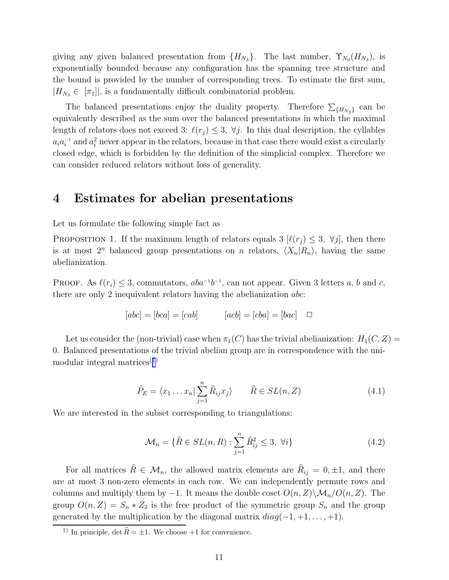giving any given balanced presentation from  ${H_{N_3}}$ . The last number,  ${\Upsilon_{N_0}}(H_{N_3})$ , is exponentially bounded because any configuration has the spanning tree structure and the bound is provided by the number of corresponding trees. To estimate the first sum,  $|H_{N_3} \in [\pi_1]|$ , is a fundamentally difficult combinatorial problem.

The balanced presentations enjoy the duality property. Therefore  $\sum_{\{H_{N_3}\}}$  can be equivalently described as the sum over the balanced presentations in which the maximal length of relators does not exceed 3:  $\ell(r_i) \leq 3$ ,  $\forall j$ . In this dual description, the cyllables  $a_i a_i^{-1}$  and  $a_i^2$  never appear in the relators, because in that case there would exist a circularly closed edge, which is forbidden by the definition of the simplicial complex. Therefore we can consider reduced relators without loss of generality.

#### 4 Estimates for abelian presentations

Let us formulate the following simple fact as

PROPOSITION 1. If the maximum length of relators equals 3  $[\ell(r_i) \leq 3, \forall j]$ , then there is at most  $2^n$  balanced group presentations on n relators,  $\langle X_n|R_n\rangle$ , having the same abelianization.

PROOF. As  $\ell(r_i) \leq 3$ , commutators,  $aba^{-1}b^{-1}$ , can not appear. Given 3 letters a, b and c, there are only 2 inequivalent relators having the abelianization abc:

$$
[abc] = [bca] = [cab] \qquad [acb] = [cba] = [bac] \quad \Box
$$

Let us consider the (non-trivial) case when  $\pi_1(C)$  has the trivial abelianization:  $H_1(C, Z)$  = 0. Balanced presentations of the trivial abelian group are in correspondence with the unimodular integral matrices(‡)

$$
\widehat{P}_E = \langle x_1 \dots x_n | \sum_{j=1}^n \widehat{R}_{ij} x_j \rangle \qquad \widehat{R} \in SL(n, Z)
$$
\n(4.1)

We are interested in the subset corresponding to triangulations:

$$
\mathcal{M}_n = \{ \widehat{R} \in SL(n, R) : \sum_{j=1}^n \widehat{R}_{ij}^2 \le 3, \ \forall i \}
$$
\n
$$
(4.2)
$$

For all matrices  $R \in \mathcal{M}_n$ , the allowed matrix elements are  $R_{ij} = 0, \pm 1$ , and there are at most 3 non-zero elements in each row. We can independently permute rows and columns and multiply them by −1. It means the double coset  $O(n, Z)\setminus M_n/O(n, Z)$ . The group  $O(n, Z) = S_n * Z_2$  is the free product of the symmetric group  $S_n$  and the group generated by the multiplication by the diagonal matrix  $diag(-1, +1, \ldots, +1)$ .

<sup>&</sup>lt;sup>‡)</sup> In principle, det  $\widehat{R} = \pm 1$ . We choose +1 for convenience.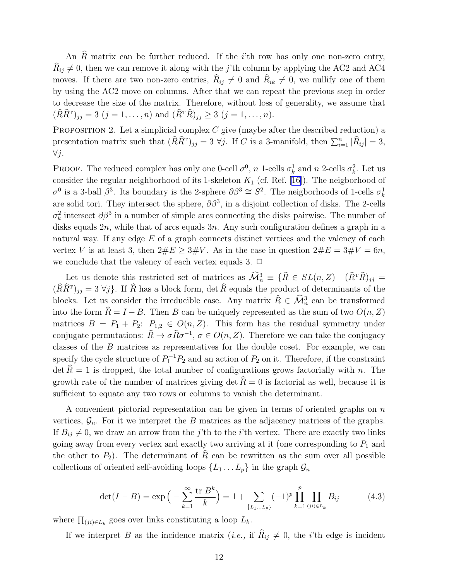<span id="page-12-0"></span>An  $R$  matrix can be further reduced. If the  $i$ 'th row has only one non-zero entry,  $R_{ij} \neq 0$ , then we can remove it along with the j'th column by applying the AC2 and AC4 moves. If there are two non-zero entries,  $R_{ij} \neq 0$  and  $R_{ik} \neq 0$ , we nullify one of them by using the AC2 move on columns. After that we can repeat the previous step in order to decrease the size of the matrix. Therefore, without loss of generality, we assume that  $(RR^{\mathrm{T}})_{jj} = 3 \ (j = 1, \ldots, n) \text{ and } (R^{\mathrm{T}}R)_{jj} \geq 3 \ (j = 1, \ldots, n).$ 

PROPOSITION 2. Let a simplicial complex  $C$  give (maybe after the described reduction) a presentation matrix such that  $(\widehat{R}\widehat{R}^{T})_{jj} = 3 \ \forall j$ . If C is a 3-manifold, then  $\sum_{i=1}^{n} |\widehat{R}_{ij}| = 3$ , ∀j.

**PROOF.** The reduced complex has only one 0-cell  $\sigma^0$ , n 1-cells  $\sigma_k^1$  and n 2-cells  $\sigma_k^2$ . Let us considerthe regular neighborhood of its 1-skeleton  $K_1$  (cf. Ref. [[16\]](#page-24-0)). The neigborhood of  $σ<sup>0</sup>$  is a 3-ball  $β<sup>3</sup>$ . Its boundary is the 2-sphere  $∂β<sup>3</sup> ≅ S<sup>2</sup>$ . The neigborhoods of 1-cells  $σ<sup>1</sup><sub>k</sub>$ are solid tori. They intersect the sphere,  $\partial \beta^3$ , in a disjoint collection of disks. The 2-cells  $\sigma_k^2$  intersect  $\partial \beta^3$  in a number of simple arcs connecting the disks pairwise. The number of disks equals  $2n$ , while that of arcs equals  $3n$ . Any such configuration defines a graph in a natural way. If any edge E of a graph connects distinct vertices and the valency of each vertex V is at least 3, then  $2 \# E \geq 3 \# V$ . As in the case in question  $2 \# E = 3 \# V = 6n$ , we conclude that the valency of each vertex equals 3.  $\Box$ 

Let us denote this restricted set of matrices as  $\widehat{\mathcal{M}}_n^3 \equiv \{\widehat{R} \in SL(n, Z) \mid (\widehat{R}^T \widehat{R})_{jj} =$  $(RR^T)_{jj} = 3 \forall j$ . If R has a block form, det R equals the product of determinants of the blocks. Let us consider the irreducible case. Any matrix  $\hat{R} \in \mathcal{M}_n^3$  can be transformed into the form  $\hat{R} = I - B$ . Then B can be uniquely represented as the sum of two  $O(n, Z)$ matrices  $B = P_1 + P_2$ :  $P_{1,2} \in O(n, Z)$ . This form has the residual symmetry under conjugate permutations:  $\hat{R} \to \sigma \hat{R} \sigma^{-1}$ ,  $\sigma \in O(n, Z)$ . Therefore we can take the conjugacy classes of the B matrices as representatives for the double coset. For example, we can specify the cycle structure of  $P_1^{-1}P_2$  and an action of  $P_2$  on it. Therefore, if the constraint  $\det R = 1$  is dropped, the total number of configurations grows factorially with n. The growth rate of the number of matrices giving det  $\hat{R} = 0$  is factorial as well, because it is sufficient to equate any two rows or columns to vanish the determinant.

A convenient pictorial representation can be given in terms of oriented graphs on  $n$ vertices,  $\mathcal{G}_n$ . For it we interpret the B matrices as the adjacency matrices of the graphs. If  $B_{ij} \neq 0$ , we draw an arrow from the j'th to the i'th vertex. There are exactly two links going away from every vertex and exactly two arriving at it (one corresponding to  $P_1$  and the other to  $P_2$ ). The determinant of R can be rewritten as the sum over all possible collections of oriented self-avoiding loops  $\{L_1 \ldots L_p\}$  in the graph  $\mathcal{G}_n$ 

$$
\det(I - B) = \exp\left(-\sum_{k=1}^{\infty} \frac{\text{tr } B^k}{k}\right) = 1 + \sum_{\{L_1...L_p\}} (-1)^p \prod_{k=1}^p \prod_{(ji) \in L_k} B_{ij}
$$
(4.3)

where  $\prod_{(ji)\in L_k}$  goes over links constituting a loop  $L_k$ .

If we interpret B as the incidence matrix (*i.e.*, if  $R_{ij} \neq 0$ , the *i*'th edge is incident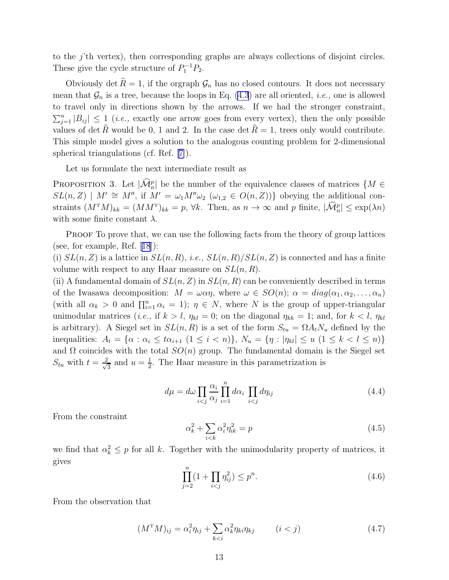<span id="page-13-0"></span>to the j'th vertex), then corresponding graphs are always collections of disjoint circles. These give the cycle structure of  $P_1^{-1}P_2$ .

Obviously det  $\hat{R} = 1$ , if the orgraph  $\mathcal{G}_n$  has no closed contours. It does not necessary mean that  $\mathcal{G}_n$  is a tree, because the loops in Eq. [\(4.3](#page-12-0)) are all oriented, *i.e.*, one is allowed to travel only in directions shown by the arrows. If we had the stronger constraint,  $\sum_{j=1}^n |B_{ij}| \leq 1$  (*i.e.*, exactly one arrow goes from every vertex), then the only possible values of det  $\hat{R}$  would be 0, 1 and 2. In the case det  $\hat{R} = 1$ , trees only would contribute. This simple model gives a solution to the analogous counting problem for 2-dimensional spherical triangulations (cf. Ref.[[7\]](#page-24-0)).

Let us formulate the next intermediate result as

PROPOSITION 3. Let  $|\widehat{\mathcal{M}}_n^p|$  be the number of the equivalence classes of matrices  $\{M \in$  $SL(n, Z) \mid M' \cong M''$ , if  $M' = \omega_1 M'' \omega_2 \; (\omega_{1,2} \in O(n, Z))$  obeying the additional constraints  $(M^{\mathrm{T}}M)_{kk} = (MM^{\mathrm{T}})_{kk} = p$ ,  $\forall k$ . Then, as  $n \to \infty$  and p finite,  $|\mathcal{\hat{M}}_n^p| \leq \exp(\lambda n)$ with some finite constant  $\lambda$ .

PROOF To prove that, we can use the following facts from the theory of group lattices (see, for example, Ref.[[18](#page-24-0)]):

(i)  $SL(n, Z)$  is a lattice in  $SL(n, R)$ , *i.e.*,  $SL(n, R)/SL(n, Z)$  is connected and has a finite volume with respect to any Haar measure on  $SL(n, R)$ .

(ii) A fundamental domain of  $SL(n, Z)$  in  $SL(n, R)$  can be conveniently described in terms of the Iwasawa decomposition:  $M = \omega \alpha \eta$ , where  $\omega \in SO(n)$ ;  $\alpha = diag(\alpha_1, \alpha_2, \ldots, \alpha_n)$ (with all  $\alpha_k > 0$  and  $\prod_{i=1}^n \alpha_i = 1$ );  $\eta \in N$ , where N is the group of upper-triangular unimodular matrices (*i.e.*, if  $k > l$ ,  $\eta_{kl} = 0$ ; on the diagonal  $\eta_{kk} = 1$ ; and, for  $k < l$ ,  $\eta_{kl}$ is arbitrary). A Siegel set in  $SL(n, R)$  is a set of the form  $S_{tu} = \Omega A_t N_u$  defined by the inequalities:  $A_t = \{ \alpha : \alpha_i \leq t\alpha_{i+1} \ (1 \leq i < n) \},\ N_u = \{ \eta : |\eta_{kl}| \leq u \ (1 \leq k < l \leq n) \}$ and  $\Omega$  coincides with the total  $SO(n)$  group. The fundamental domain is the Siegel set  $S_{tu}$  with  $t = \frac{2}{\sqrt{3}}$  $\frac{1}{3}$  and  $u=\frac{1}{2}$  $\frac{1}{2}$ . The Haar measure in this parametrization is

$$
d\mu = d\omega \prod_{i < j} \frac{\alpha_i}{\alpha_j} \prod_{i=1}^n d\alpha_i \prod_{i < j} d\eta_{ij} \tag{4.4}
$$

From the constraint

$$
\alpha_k^2 + \sum_{i < k} \alpha_i^2 \eta_{ik}^2 = p \tag{4.5}
$$

we find that  $\alpha_k^2 \leq p$  for all k. Together with the unimodularity property of matrices, it gives

$$
\prod_{j=2}^{n} (1 + \prod_{i < j} \eta_{ij}^2) \le p^n. \tag{4.6}
$$

From the observation that

$$
(M^{\mathrm{T}}M)_{ij} = \alpha_i^2 \eta_{ij} + \sum_{k < i} \alpha_k^2 \eta_{ki} \eta_{kj} \qquad (i < j) \tag{4.7}
$$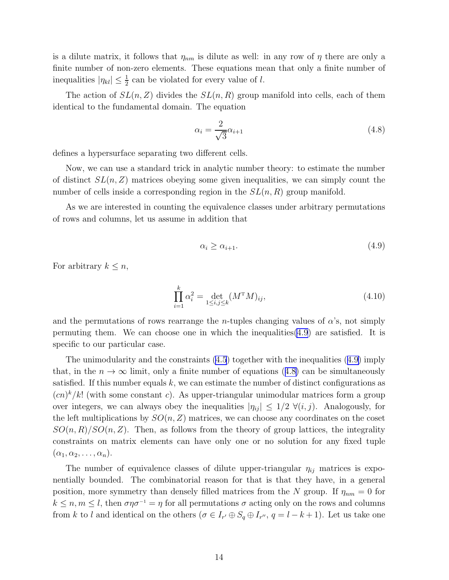is a dilute matrix, it follows that  $\eta_{nm}$  is dilute as well: in any row of  $\eta$  there are only a finite number of non-zero elements. These equations mean that only a finite number of inequalities  $|\eta_{kl}| \leq \frac{1}{2}$  can be violated for every value of l.

The action of  $SL(n, Z)$  divides the  $SL(n, R)$  group manifold into cells, each of them identical to the fundamental domain. The equation

$$
\alpha_i = \frac{2}{\sqrt{3}} \alpha_{i+1} \tag{4.8}
$$

defines a hypersurface separating two different cells.

Now, we can use a standard trick in analytic number theory: to estimate the number of distinct  $SL(n, Z)$  matrices obeying some given inequalities, we can simply count the number of cells inside a corresponding region in the  $SL(n, R)$  group manifold.

As we are interested in counting the equivalence classes under arbitrary permutations of rows and columns, let us assume in addition that

$$
\alpha_i \ge \alpha_{i+1}.\tag{4.9}
$$

For arbitrary  $k \leq n$ ,

$$
\prod_{i=1}^{k} \alpha_i^2 = \det_{1 \le i,j \le k} (M^{\mathsf{T}} M)_{ij},
$$
\n(4.10)

and the permutations of rows rearrange the *n*-tuples changing values of  $\alpha$ 's, not simply permuting them. We can choose one in which the inequalities(4.9) are satisfied. It is specific to our particular case.

The unimodularity and the constraints [\(4.5](#page-13-0)) together with the inequalities (4.9) imply that, in the  $n \to \infty$  limit, only a finite number of equations (4.8) can be simultaneously satisfied. If this number equals  $k$ , we can estimate the number of distinct configurations as  $(cn)^k/k!$  (with some constant c). As upper-triangular unimodular matrices form a group over integers, we can always obey the inequalities  $|\eta_{ij}| \leq 1/2 \ \forall (i,j)$ . Analogously, for the left multiplications by  $SO(n, Z)$  matrices, we can choose any coordinates on the coset  $SO(n, R)/SO(n, Z)$ . Then, as follows from the theory of group lattices, the integrality constraints on matrix elements can have only one or no solution for any fixed tuple  $(\alpha_1, \alpha_2, \ldots, \alpha_n).$ 

The number of equivalence classes of dilute upper-triangular  $\eta_{ij}$  matrices is exponentially bounded. The combinatorial reason for that is that they have, in a general position, more symmetry than densely filled matrices from the N group. If  $\eta_{nm} = 0$  for  $k \leq n, m \leq l$ , then  $\sigma \eta \sigma^{-1} = \eta$  for all permutations  $\sigma$  acting only on the rows and columns from k to l and identical on the others  $(\sigma \in I_{r'} \oplus S_q \oplus I_{r''}, q = l - k + 1)$ . Let us take one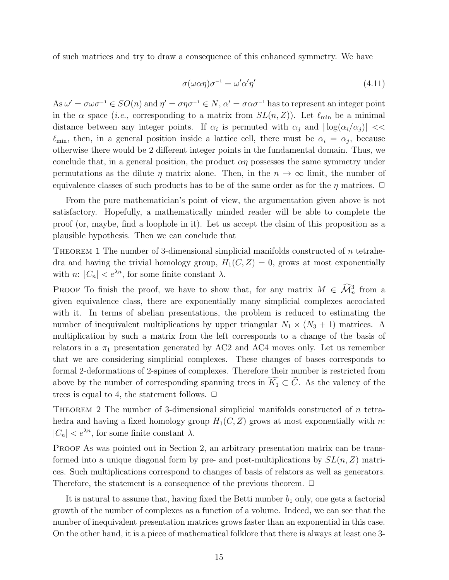of such matrices and try to draw a consequence of this enhanced symmetry. We have

$$
\sigma(\omega \alpha \eta) \sigma^{-1} = \omega' \alpha' \eta'
$$
\n(4.11)

As  $\omega' = \sigma \omega \sigma^{-1} \in SO(n)$  and  $\eta' = \sigma \eta \sigma^{-1} \in N$ ,  $\alpha' = \sigma \alpha \sigma^{-1}$  has to represent an integer point in the  $\alpha$  space (*i.e.*, corresponding to a matrix from  $SL(n, Z)$ ). Let  $\ell_{\min}$  be a minimal distance between any integer points. If  $\alpha_i$  is permuted with  $\alpha_j$  and  $|\log(\alpha_i/\alpha_j)|$  <  $\ell_{\min}$ , then, in a general position inside a lattice cell, there must be  $\alpha_i = \alpha_j$ , because otherwise there would be 2 different integer points in the fundamental domain. Thus, we conclude that, in a general position, the product  $\alpha\eta$  possesses the same symmetry under permutations as the dilute  $\eta$  matrix alone. Then, in the  $n \to \infty$  limit, the number of equivalence classes of such products has to be of the same order as for the  $\eta$  matrices.  $\Box$ 

From the pure mathematician's point of view, the argumentation given above is not satisfactory. Hopefully, a mathematically minded reader will be able to complete the proof (or, maybe, find a loophole in it). Let us accept the claim of this proposition as a plausible hypothesis. Then we can conclude that

THEOREM 1 The number of 3-dimensional simplicial manifolds constructed of  $n$  tetrahedra and having the trivial homology group,  $H_1(C, Z) = 0$ , grows at most exponentially with n:  $|C_n| < e^{\lambda n}$ , for some finite constant  $\lambda$ .

PROOF To finish the proof, we have to show that, for any matrix  $M \in \widehat{\mathcal{M}}_n^3$  from a given equivalence class, there are exponentially many simplicial complexes accociated with it. In terms of abelian presentations, the problem is reduced to estimating the number of inequivalent multiplications by upper triangular  $N_1 \times (N_3 + 1)$  matrices. A multiplication by such a matrix from the left corresponds to a change of the basis of relators in a  $\pi_1$  presentation generated by AC2 and AC4 moves only. Let us remember that we are considering simplicial complexes. These changes of bases corresponds to formal 2-deformations of 2-spines of complexes. Therefore their number is restricted from above by the number of corresponding spanning trees in  $\widetilde{K}_1 \subset \widetilde{C}$ . As the valency of the trees is equal to 4, the statement follows.  $\Box$ 

THEOREM 2 The number of 3-dimensional simplicial manifolds constructed of  $n$  tetrahedra and having a fixed homology group  $H_1(C, Z)$  grows at most exponentially with n:  $|C_n| < e^{\lambda n}$ , for some finite constant  $\lambda$ .

PROOF As was pointed out in Section 2, an arbitrary presentation matrix can be transformed into a unique diagonal form by pre- and post-multiplications by  $SL(n, Z)$  matrices. Such multiplications correspond to changes of basis of relators as well as generators. Therefore, the statement is a consequence of the previous theorem.  $\Box$ 

It is natural to assume that, having fixed the Betti number  $b_1$  only, one gets a factorial growth of the number of complexes as a function of a volume. Indeed, we can see that the number of inequivalent presentation matrices grows faster than an exponential in this case. On the other hand, it is a piece of mathematical folklore that there is always at least one 3-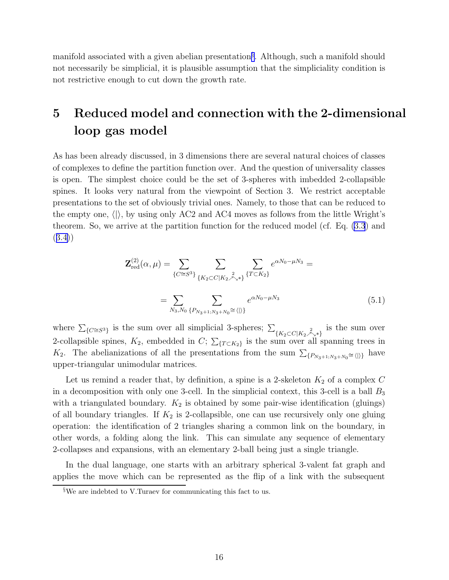<span id="page-16-0"></span>manifold associated with a given abelian presentation§ . Although, such a manifold should not necessarily be simplicial, it is plausible assumption that the simpliciality condition is not restrictive enough to cut down the growth rate.

## 5 Reduced model and connection with the 2-dimensional loop gas model

As has been already discussed, in 3 dimensions there are several natural choices of classes of complexes to define the partition function over. And the question of universality classes is open. The simplest choice could be the set of 3-spheres with imbedded 2-collapsible spines. It looks very natural from the viewpoint of Section 3. We restrict acceptable presentations to the set of obviously trivial ones. Namely, to those that can be reduced to the empty one,  $\langle \rangle$ , by using only AC2 and AC4 moves as follows from the little Wright's theorem. So, we arrive at the partition function for the reduced model (cf. Eq. [\(3.3](#page-10-0)) and ([3.4\)](#page-10-0))

$$
\mathbf{Z}_{\text{red}}^{(2)}(\alpha,\mu) = \sum_{\{C \cong S^3\}} \sum_{\{K_2 \subset C | K_2 \overset{2}{\nearrow_{\searrow}} * \}} \sum_{\{T \subset K_2\}} e^{\alpha N_0 - \mu N_3} =
$$
\n
$$
= \sum_{N_3, N_0} \sum_{\{P_{N_3+1; N_3 + N_0} \cong \langle |\rangle\}} e^{\alpha N_0 - \mu N_3} \tag{5.1}
$$

where  $\sum_{\{C \cong S^3\}}$  is the sum over all simplicial 3-spheres;  $\Sigma$  $\{K_2 \subset C | K_2 \nearrow \searrow^* \}$ is the sum over 2-collapsible spines,  $K_2$ , embedded in C;  $\sum_{\{T \subset K_2\}}$  is the sum over all spanning trees in  $K_2$ . The abelianizations of all the presentations from the sum  $\sum_{\{P_{N_3+1,N_3+N_0} \cong \langle |\rangle\}}$  have upper-triangular unimodular matrices.

Let us remind a reader that, by definition, a spine is a 2-skeleton  $K_2$  of a complex C in a decomposition with only one 3-cell. In the simplicial context, this 3-cell is a ball  $B_3$ with a triangulated boundary.  $K_2$  is obtained by some pair-wise identification (gluings) of all boundary triangles. If  $K_2$  is 2-collapsible, one can use recursively only one gluing operation: the identification of 2 triangles sharing a common link on the boundary, in other words, a folding along the link. This can simulate any sequence of elementary 2-collapses and expansions, with an elementary 2-ball being just a single triangle.

In the dual language, one starts with an arbitrary spherical 3-valent fat graph and applies the move which can be represented as the flip of a link with the subsequent

<sup>§</sup>We are indebted to V.Turaev for communicating this fact to us.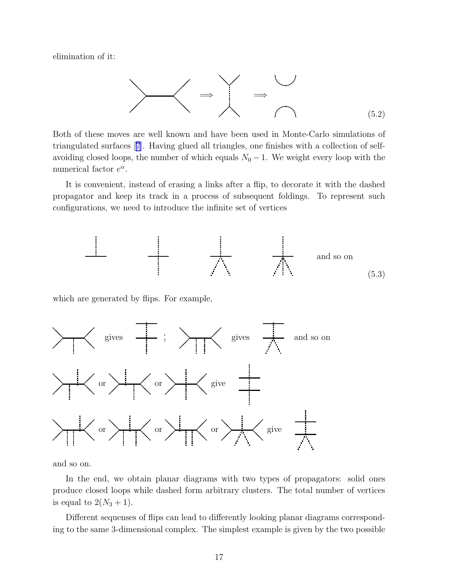<span id="page-17-0"></span>elimination of it:

$$
\begin{matrix}\n\diagdown\downarrow & \diagdown\downarrow & \diagdown\downarrow & \diagdown\downarrow & \diagdown\downarrow & \diagdown\downarrow & \diagdown\downarrow & \diagdown\downarrow & \diagdown\downarrow & \diagdown\downarrow & \diagdown\downarrow & \diagdown\downarrow & \diagdown\downarrow & \diagdown\downarrow & \diagdown\downarrow & \diagdown\downarrow & \diagdown\downarrow & \diagdown\downarrow & \diagdown\downarrow & \diagdown\downarrow & \diagdown\downarrow & \diagdown\downarrow & \diagdown\downarrow & \diagdown\downarrow & \diagdown\downarrow & \diagdown\downarrow & \diagdown\downarrow & \diagdown\downarrow & \diagdown\downarrow & \diagdown\downarrow & \diagdown\downarrow & \diagdown\downarrow & \diagdown\downarrow & \diagdown\downarrow & \diagdown\downarrow & \diagdown\downarrow & \diagdown\downarrow & \diagdown\downarrow & \diagdown\downarrow & \diagdown\downarrow & \diagdown\downarrow & \diagdown\downarrow & \diagdown\downarrow & \diagdown\downarrow & \diagdown\downarrow & \diagdown\downarrow & \diagdown\downarrow & \diagdown\downarrow & \diagdown\downarrow & \diagdown\downarrow & \diagdown\downarrow & \diagdown\downarrow & \diagdown\downarrow & \diagdown\downarrow & \diagdown\downarrow & \diagdown\downarrow & \diagdown\downarrow & \diagdown\downarrow & \diagdown\downarrow & \diagdown\downarrow & \diagdown\downarrow & \diagdown\downarrow & \diagdown\downarrow & \diagdown\downarrow & \diagdown\downarrow & \diagdown\downarrow & \diagdown\downarrow & \diagdown\downarrow & \diagdown\downarrow & \diagdown\downarrow & \diagdown\downarrow & \diagdown\downarrow & \diagdown\downarrow & \diagdown\downarrow & \diagdown\downarrow & \diagdown\downarrow & \diagdown\downarrow & \diagdown\downarrow & \diagdown\downarrow & \diagdown\downarrow & \diagdown\downarrow & \diagdown\downarrow & \diagdown\downarrow & \diagdown\downarrow &
$$

Both of these moves are well known and have been used in Monte-Carlo simulations of triangulated surfaces[[7](#page-24-0)]. Having glued all triangles, one finishes with a collection of selfavoiding closed loops, the number of which equals  $N_0 - 1$ . We weight every loop with the numerical factor  $e^{\alpha}$ .

It is convenient, instead of erasing a links after a flip, to decorate it with the dashed propagator and keep its track in a process of subsequent foldings. To represent such configurations, we need to introduce the infinite set of vertices



which are generated by flips. For example,



and so on.

In the end, we obtain planar diagrams with two types of propagators: solid ones produce closed loops while dashed form arbitrary clusters. The total number of vertices is equal to  $2(N_3 + 1)$ .

Different sequenses of flips can lead to differently looking planar diagrams corresponding to the same 3-dimensional complex. The simplest example is given by the two possible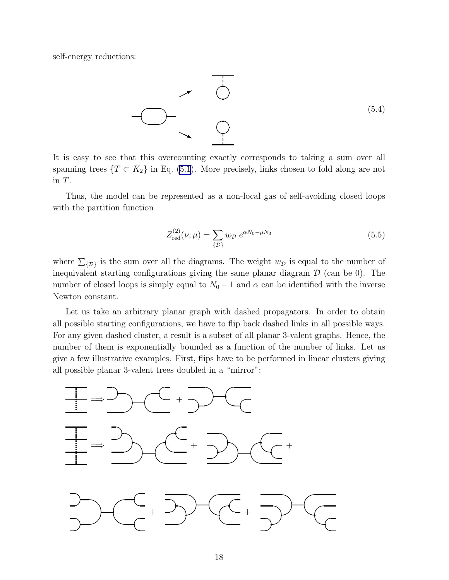<span id="page-18-0"></span>self-energy reductions:



It is easy to see that this overcounting exactly corresponds to taking a sum over all spanning trees  $\{T \subset K_2\}$  in Eq. [\(5.1](#page-16-0)). More precisely, links chosen to fold along are not in T.

Thus, the model can be represented as a non-local gas of self-avoiding closed loops with the partition function

$$
Z_{\text{red}}^{(2)}(\nu,\mu) = \sum_{\{\mathcal{D}\}} w_{\mathcal{D}} \, e^{\alpha N_0 - \mu N_3} \tag{5.5}
$$

where  $\Sigma_{\{D\}}$  is the sum over all the diagrams. The weight  $w_{\mathcal{D}}$  is equal to the number of inequivalent starting configurations giving the same planar diagram  $\mathcal D$  (can be 0). The number of closed loops is simply equal to  $N_0 - 1$  and  $\alpha$  can be identified with the inverse Newton constant.

Let us take an arbitrary planar graph with dashed propagators. In order to obtain all possible starting configurations, we have to flip back dashed links in all possible ways. For any given dashed cluster, a result is a subset of all planar 3-valent graphs. Hence, the number of them is exponentially bounded as a function of the number of links. Let us give a few illustrative examples. First, flips have to be performed in linear clusters giving all possible planar 3-valent trees doubled in a "mirror":

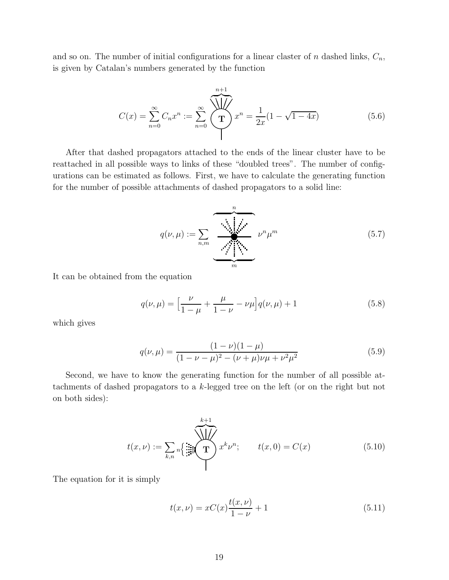and so on. The number of initial configurations for a linear claster of n dashed links,  $C_n$ , is given by Catalan's numbers generated by the function

$$
C(x) = \sum_{n=0}^{\infty} C_n x^n := \sum_{n=0}^{\infty} \underbrace{\sqrt{\frac{n+1}{n}}}_{x^n} x^n = \frac{1}{2x} (1 - \sqrt{1 - 4x})
$$
\n(5.6)

After that dashed propagators attached to the ends of the linear cluster have to be reattached in all possible ways to links of these "doubled trees". The number of configurations can be estimated as follows. First, we have to calculate the generating function for the number of possible attachments of dashed propagators to a solid line:

$$
q(\nu,\mu) := \sum_{n,m} \underbrace{\underbrace{\phantom{\sum_{n,m}}}_{m}} \nu^n \mu^m \tag{5.7}
$$

It can be obtained from the equation

$$
q(\nu,\mu) = \left[\frac{\nu}{1-\mu} + \frac{\mu}{1-\nu} - \nu\mu\right]q(\nu,\mu) + 1\tag{5.8}
$$

which gives

$$
q(\nu,\mu) = \frac{(1-\nu)(1-\mu)}{(1-\nu-\mu)^2 - (\nu+\mu)\nu\mu + \nu^2\mu^2}
$$
(5.9)

Second, we have to know the generating function for the number of all possible attachments of dashed propagators to a k-legged tree on the left (or on the right but not on both sides):

$$
t(x,\nu) := \sum_{k,n} \sqrt{\frac{1}{2\pi i}} \sum_{k=0}^{k+1} x^k \nu^n; \qquad t(x,0) = C(x) \tag{5.10}
$$

The equation for it is simply

$$
t(x,\nu) = xC(x)\frac{t(x,\nu)}{1-\nu} + 1
$$
\n(5.11)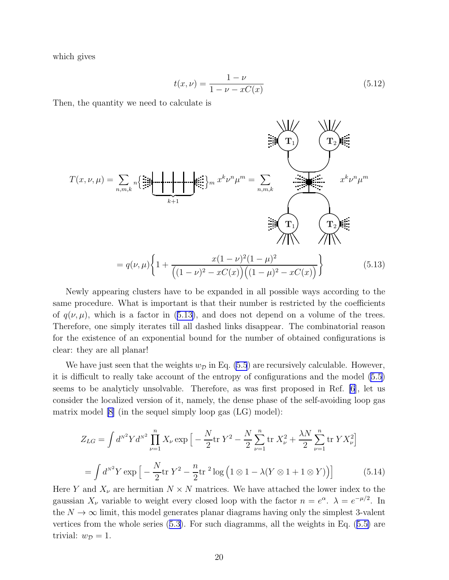<span id="page-20-0"></span>which gives

$$
t(x,\nu) = \frac{1-\nu}{1-\nu - xC(x)}
$$
(5.12)

Then, the quantity we need to calculate is



Newly appearing clusters have to be expanded in all possible ways according to the same procedure. What is important is that their number is restricted by the coefficients of  $q(\nu, \mu)$ , which is a factor in (5.13), and does not depend on a volume of the trees. Therefore, one simply iterates till all dashed links disappear. The combinatorial reason for the existence of an exponential bound for the number of obtained configurations is clear: they are all planar!

We have just seen that the weights  $w_{\mathcal{D}}$  in Eq. [\(5.5](#page-18-0)) are recursively calculable. However, it is difficult to really take account of the entropy of configurations and the model [\(5.5](#page-18-0)) seems to be analyticly unsolvable. Therefore, as was first proposed in Ref. [\[6](#page-24-0)], let us consider the localized version of it, namely, the dense phase of the self-avoiding loop gas matrix model [\[8\]](#page-24-0) (in the sequel simply loop gas (LG) model):

$$
Z_{LG} = \int d^{N^2} Y d^{N^2} \prod_{\nu=1}^n X_{\nu} \exp\left[ -\frac{N}{2} \text{tr} Y^2 - \frac{N}{2} \sum_{\nu=1}^n \text{tr} X_{\nu}^2 + \frac{\lambda N}{2} \sum_{\nu=1}^n \text{tr} Y X_{\nu}^2 \right]
$$
  
= 
$$
\int d^{N^2} Y \exp\left[ -\frac{N}{2} \text{tr} Y^2 - \frac{n}{2} \text{tr}^2 \log\left(1 \otimes 1 - \lambda (Y \otimes 1 + 1 \otimes Y)\right) \right]
$$
(5.14)

Here Y and  $X_{\nu}$  are hermitian  $N \times N$  matrices. We have attached the lower index to the gaussian  $X_{\nu}$  variable to weight every closed loop with the factor  $n = e^{\alpha}$ .  $\lambda = e^{-\mu/2}$ . In the  $N \to \infty$  limit, this model generates planar diagrams having only the simplest 3-valent vertices from the whole series([5.3\)](#page-17-0). For such diagramms, all the weights in Eq.([5.5\)](#page-18-0) are trivial:  $w_{\mathcal{D}} = 1$ .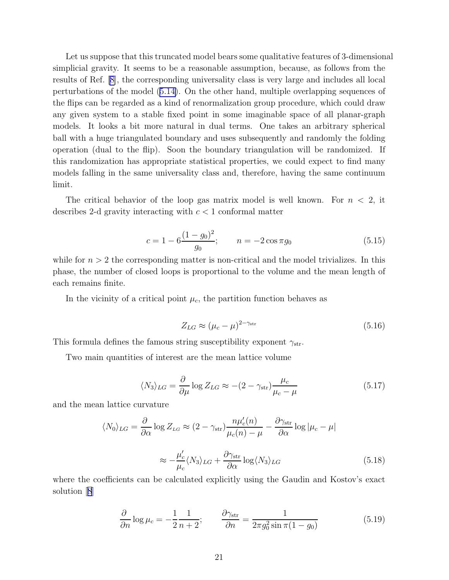Let us suppose that this truncated model bears some qualitative features of 3-dimensional simplicial gravity. It seems to be a reasonable assumption, because, as follows from the results of Ref. [\[8\]](#page-24-0), the corresponding universality class is very large and includes all local perturbations of the model([5.14\)](#page-20-0). On the other hand, multiple overlapping sequences of the flips can be regarded as a kind of renormalization group procedure, which could draw any given system to a stable fixed point in some imaginable space of all planar-graph models. It looks a bit more natural in dual terms. One takes an arbitrary spherical ball with a huge triangulated boundary and uses subsequently and randomly the folding operation (dual to the flip). Soon the boundary triangulation will be randomized. If this randomization has appropriate statistical properties, we could expect to find many models falling in the same universality class and, therefore, having the same continuum limit.

The critical behavior of the loop gas matrix model is well known. For  $n < 2$ , it describes 2-d gravity interacting with  $c < 1$  conformal matter

$$
c = 1 - 6\frac{(1 - g_0)^2}{g_0}; \qquad n = -2\cos\pi g_0 \tag{5.15}
$$

while for  $n > 2$  the corresponding matter is non-critical and the model trivializes. In this phase, the number of closed loops is proportional to the volume and the mean length of each remains finite.

In the vicinity of a critical point  $\mu_c$ , the partition function behaves as

$$
Z_{LG} \approx (\mu_c - \mu)^{2 - \gamma_{\rm str}} \tag{5.16}
$$

This formula defines the famous string susceptibility exponent  $\gamma_{str}$ .

Two main quantities of interest are the mean lattice volume

$$
\langle N_3 \rangle_{LG} = \frac{\partial}{\partial \mu} \log Z_{LG} \approx -(2 - \gamma_{\rm str}) \frac{\mu_c}{\mu_c - \mu}
$$
(5.17)

and the mean lattice curvature

$$
\langle N_0 \rangle_{LG} = \frac{\partial}{\partial \alpha} \log Z_{LG} \approx (2 - \gamma_{\rm str}) \frac{n \mu_c'(n)}{\mu_c(n) - \mu} - \frac{\partial \gamma_{\rm str}}{\partial \alpha} \log |\mu_c - \mu|
$$

$$
\approx -\frac{\mu_c'}{\mu_c} \langle N_3 \rangle_{LG} + \frac{\partial \gamma_{\rm str}}{\partial \alpha} \log \langle N_3 \rangle_{LG} \tag{5.18}
$$

where the coefficients can be calculated explicitly using the Gaudin and Kostov's exact solution[[8](#page-24-0)]

$$
\frac{\partial}{\partial n}\log \mu_c = -\frac{1}{2}\frac{1}{n+2}; \qquad \frac{\partial \gamma_{\text{str}}}{\partial n} = \frac{1}{2\pi g_0^2 \sin \pi (1 - g_0)}\tag{5.19}
$$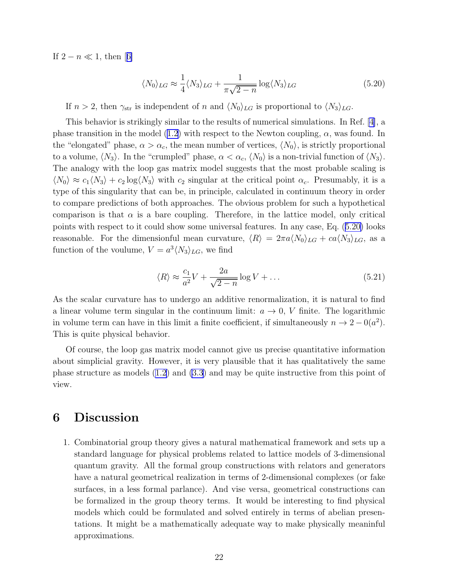If $2 - n \ll 1$ , then [[6\]](#page-24-0)

$$
\langle N_0 \rangle_{LG} \approx \frac{1}{4} \langle N_3 \rangle_{LG} + \frac{1}{\pi \sqrt{2 - n}} \log \langle N_3 \rangle_{LG}
$$
 (5.20)

If  $n > 2$ , then  $\gamma_{str}$  is independent of n and  $\langle N_0 \rangle_{LG}$  is proportional to  $\langle N_3 \rangle_{LG}$ .

This behavior is strikingly similar to the results of numerical simulations. In Ref.[[4\]](#page-24-0), a phasetransition in the model ([1.2\)](#page-1-0) with respect to the Newton coupling,  $\alpha$ , was found. In the "elongated" phase,  $\alpha > \alpha_c$ , the mean number of vertices,  $\langle N_0 \rangle$ , is strictly proportional to a volume,  $\langle N_3 \rangle$ . In the "crumpled" phase,  $\alpha < \alpha_c$ ,  $\langle N_0 \rangle$  is a non-trivial function of  $\langle N_3 \rangle$ . The analogy with the loop gas matrix model suggests that the most probable scaling is  $\langle N_0 \rangle \approx c_1 \langle N_3 \rangle + c_2 \log \langle N_3 \rangle$  with  $c_2$  singular at the critical point  $\alpha_c$ . Presumably, it is a type of this singularity that can be, in principle, calculated in continuum theory in order to compare predictions of both approaches. The obvious problem for such a hypothetical comparison is that  $\alpha$  is a bare coupling. Therefore, in the lattice model, only critical points with respect to it could show some universal features. In any case, Eq. (5.20) looks reasonable. For the dimensionful mean curvature,  $\langle R \rangle = 2\pi a \langle N_0 \rangle_{LG} + c a \langle N_3 \rangle_{LG}$ , as a function of the voulume,  $V = a^3 \langle N_3 \rangle_{LG}$ , we find

$$
\langle R \rangle \approx \frac{c_1}{a^2} V + \frac{2a}{\sqrt{2 - n}} \log V + \dots \tag{5.21}
$$

As the scalar curvature has to undergo an additive renormalization, it is natural to find a linear volume term singular in the continuum limit:  $a \to 0$ , V finite. The logarithmic in volume term can have in this limit a finite coefficient, if simultaneously  $n \to 2 - 0(a^2)$ . This is quite physical behavior.

Of course, the loop gas matrix model cannot give us precise quantitative information about simplicial gravity. However, it is very plausible that it has qualitatively the same phase structure as models [\(1.2](#page-1-0)) and [\(3.3](#page-10-0)) and may be quite instructive from this point of view.

#### 6 Discussion

1. Combinatorial group theory gives a natural mathematical framework and sets up a standard language for physical problems related to lattice models of 3-dimensional quantum gravity. All the formal group constructions with relators and generators have a natural geometrical realization in terms of 2-dimensional complexes (or fake surfaces, in a less formal parlance). And vise versa, geometrical constructions can be formalized in the group theory terms. It would be interesting to find physical models which could be formulated and solved entirely in terms of abelian presentations. It might be a mathematically adequate way to make physically meaninful approximations.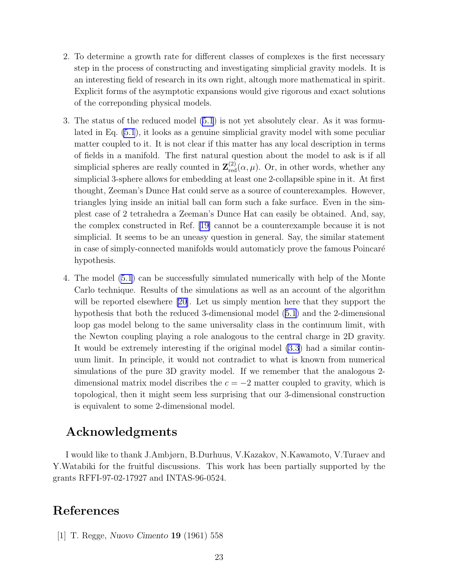- <span id="page-23-0"></span>2. To determine a growth rate for different classes of complexes is the first necessary step in the process of constructing and investigating simplicial gravity models. It is an interesting field of research in its own right, altough more mathematical in spirit. Explicit forms of the asymptotic expansions would give rigorous and exact solutions of the correponding physical models.
- 3. The status of the reduced model [\(5.1](#page-16-0)) is not yet absolutely clear. As it was formulated in Eq. [\(5.1](#page-16-0)), it looks as a genuine simplicial gravity model with some peculiar matter coupled to it. It is not clear if this matter has any local description in terms of fields in a manifold. The first natural question about the model to ask is if all simplicial spheres are really counted in  $\mathbf{Z}_{red}^{(2)}(\alpha,\mu)$ . Or, in other words, whether any simplicial 3-sphere allows for embedding at least one 2-collapsible spine in it. At first thought, Zeeman's Dunce Hat could serve as a source of counterexamples. However, triangles lying inside an initial ball can form such a fake surface. Even in the simplest case of 2 tetrahedra a Zeeman's Dunce Hat can easily be obtained. And, say, the complex constructed in Ref. [\[19\]](#page-24-0) cannot be a counterexample because it is not simplicial. It seems to be an uneasy question in general. Say, the similar statement in case of simply-connected manifolds would automaticly prove the famous Poincaré hypothesis.
- 4. The model [\(5.1](#page-16-0)) can be successfully simulated numerically with help of the Monte Carlo technique. Results of the simulations as well as an account of the algorithm will be reported elsewhere [\[20\]](#page-24-0). Let us simply mention here that they support the hypothesis that both the reduced 3-dimensional model [\(5.1](#page-16-0)) and the 2-dimensional loop gas model belong to the same universality class in the continuum limit, with the Newton coupling playing a role analogous to the central charge in 2D gravity. It would be extremely interesting if the original model [\(3.3](#page-10-0)) had a similar continuum limit. In principle, it would not contradict to what is known from numerical simulations of the pure 3D gravity model. If we remember that the analogous 2 dimensional matrix model discribes the  $c = -2$  matter coupled to gravity, which is topological, then it might seem less surprising that our 3-dimensional construction is equivalent to some 2-dimensional model.

### Acknowledgments

I would like to thank J.Ambjørn, B.Durhuus, V.Kazakov, N.Kawamoto, V.Turaev and Y.Watabiki for the fruitful discussions. This work has been partially supported by the grants RFFI-97-02-17927 and INTAS-96-0524.

#### References

[1] T. Regge, Nuovo Cimento 19 (1961) 558